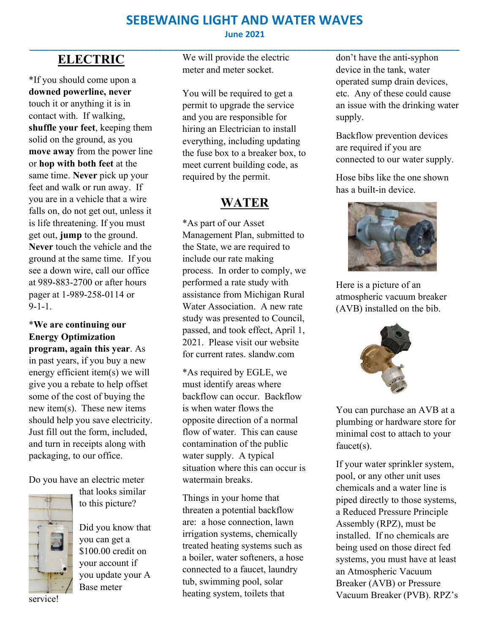#### SEBEWAING LIGHT AND WATER WAVES June 2021

\_\_\_\_\_\_\_\_\_\_\_\_\_\_\_\_\_\_\_\_\_\_\_\_\_\_\_\_\_\_\_\_\_\_\_\_\_\_\_\_\_\_\_\_\_\_\_\_\_\_\_\_\_\_\_\_\_\_\_\_\_\_\_\_\_\_\_\_\_\_\_\_\_\_\_\_\_\_\_\_\_\_\_\_\_\_\_\_\_\_

# ELECTRIC

\*If you should come upon a downed powerline, never touch it or anything it is in contact with. If walking, shuffle your feet, keeping them solid on the ground, as you move away from the power line or hop with both feet at the same time. Never pick up your feet and walk or run away. If you are in a vehicle that a wire falls on, do not get out, unless it is life threatening. If you must get out, jump to the ground. Never touch the vehicle and the ground at the same time. If you see a down wire, call our office at 989-883-2700 or after hours pager at 1-989-258-0114 or 9-1-1.

#### \*We are continuing our Energy Optimization

program, again this year. As in past years, if you buy a new energy efficient item(s) we will give you a rebate to help offset some of the cost of buying the new item(s). These new items should help you save electricity. Just fill out the form, included, and turn in receipts along with packaging, to our office.

Do you have an electric meter



that looks similar to this picture?

Did you know that you can get a \$100.00 credit on your account if you update your A Base meter

We will provide the electric meter and meter socket.

You will be required to get a permit to upgrade the service and you are responsible for hiring an Electrician to install everything, including updating the fuse box to a breaker box, to meet current building code, as required by the permit.

### WATER

\*As part of our Asset Management Plan, submitted to the State, we are required to include our rate making process. In order to comply, we performed a rate study with assistance from Michigan Rural Water Association. A new rate study was presented to Council, passed, and took effect, April 1, 2021. Please visit our website for current rates. slandw.com

\*As required by EGLE, we must identify areas where backflow can occur. Backflow is when water flows the opposite direction of a normal flow of water. This can cause contamination of the public water supply. A typical situation where this can occur is watermain breaks.

Things in your home that threaten a potential backflow are: a hose connection, lawn irrigation systems, chemically treated heating systems such as a boiler, water softeners, a hose connected to a faucet, laundry tub, swimming pool, solar heating system, toilets that

don't have the anti-syphon device in the tank, water operated sump drain devices, etc. Any of these could cause an issue with the drinking water supply.

Backflow prevention devices are required if you are connected to our water supply.

Hose bibs like the one shown has a built-in device.



Here is a picture of an atmospheric vacuum breaker (AVB) installed on the bib.



You can purchase an AVB at a plumbing or hardware store for minimal cost to attach to your faucet(s).

If your water sprinkler system, pool, or any other unit uses chemicals and a water line is piped directly to those systems, a Reduced Pressure Principle Assembly (RPZ), must be installed. If no chemicals are being used on those direct fed systems, you must have at least an Atmospheric Vacuum Breaker (AVB) or Pressure Vacuum Breaker (PVB). RPZ's

service!